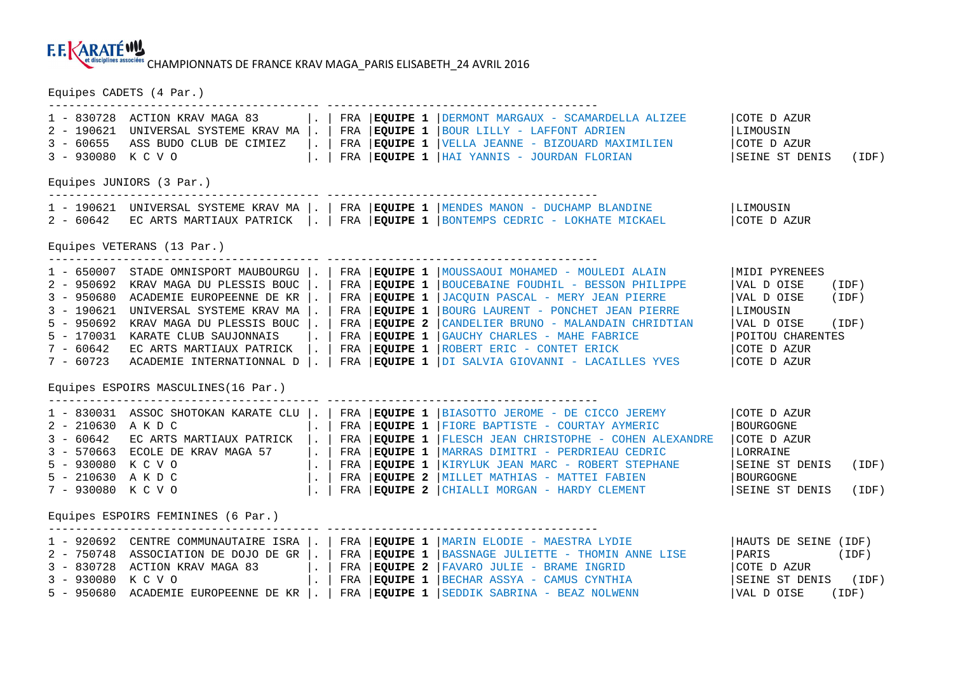## CHAMPIONNATS DE FRANCE KRAV MAGA\_PARIS ELISABETH\_24 AVRIL 2016

Equipes CADETS (4 Par.)

| $2 - 190621$<br>$3 - 60655$<br>3 - 930080 K C V O | 1 - 830728 ACTION KRAV MAGA 83<br>UNIVERSAL SYSTEME KRAV MA  .  <br>ASS BUDO CLUB DE CIMIEZ                                                                                                                                                                                                                                                                                    | $\vert \cdot \vert$<br>$\vert \cdot \vert$<br>$\sim$ | FRA<br>FRA | EQUIPE 1<br>FRA <b>EQUIPE 1</b>                                                                      | <b>EQUIPE 1</b> DERMONT MARGAUX - SCAMARDELLA ALIZEE<br>BOUR LILLY - LAFFONT ADRIEN<br>VELLA JEANNE - BIZOUARD MAXIMILIEN<br>FRA   EQUIPE 1   HAI YANNIS - JOURDAN FLORIAN                                                                                                                                                                                               | COTE D AZUR<br> LIMOUSIN<br>COTE D AZUR<br>SEINE ST DENIS<br>(IDF)                                                                               |  |  |  |  |  |  |
|---------------------------------------------------|--------------------------------------------------------------------------------------------------------------------------------------------------------------------------------------------------------------------------------------------------------------------------------------------------------------------------------------------------------------------------------|------------------------------------------------------|------------|------------------------------------------------------------------------------------------------------|--------------------------------------------------------------------------------------------------------------------------------------------------------------------------------------------------------------------------------------------------------------------------------------------------------------------------------------------------------------------------|--------------------------------------------------------------------------------------------------------------------------------------------------|--|--|--|--|--|--|
| Equipes JUNIORS (3 Par.)                          |                                                                                                                                                                                                                                                                                                                                                                                |                                                      |            |                                                                                                      |                                                                                                                                                                                                                                                                                                                                                                          |                                                                                                                                                  |  |  |  |  |  |  |
|                                                   |                                                                                                                                                                                                                                                                                                                                                                                |                                                      |            |                                                                                                      | 1 - 190621 UNIVERSAL SYSTEME KRAV MA  .   FRA   EQUIPE 1   MENDES MANON - DUCHAMP BLANDINE<br>2 - 60642 EC ARTS MARTIAUX PATRICK     FRA EQUIPE 1   BONTEMPS CEDRIC - LOKHATE MICKAEL                                                                                                                                                                                    | LIMOUSIN<br>COTE D AZUR                                                                                                                          |  |  |  |  |  |  |
|                                                   | Equipes VETERANS (13 Par.)                                                                                                                                                                                                                                                                                                                                                     |                                                      |            |                                                                                                      |                                                                                                                                                                                                                                                                                                                                                                          |                                                                                                                                                  |  |  |  |  |  |  |
| $3 - 190621$<br>$5 - 950692$                      | 2 - 950692 KRAV MAGA DU PLESSIS BOUC  .<br>3 - 950680 ACADEMIE EUROPEENNE DE KR  .<br>UNIVERSAL SYSTEME KRAV MA  .  <br>KRAV MAGA DU PLESSIS BOUC  .  <br>5 - 170031 KARATE CLUB SAUJONNAIS<br>7 - 60642 EC ARTS MARTIAUX PATRICK $\vert \cdot \vert$ FRA $\vert$ EQUIPE 1<br>7 - 60723 ACADEMIE INTERNATIONNAL D   .   FRA   EQUIPE 1<br>Equipes ESPOIRS MASCULINES (16 Par.) | $\vert \cdot \vert$                                  | FRA        | EQUIPE 1<br>FRA <b>EQUIPE 1</b><br>FRA <b>EQUIPE 1</b><br>FRA <b>EQUIPE 2</b><br>FRA <b>EQUIPE 1</b> | 1 - 650007 STADE OMNISPORT MAUBOURGU  .   FRA   EQUIPE 1   MOUSSAOUI MOHAMED - MOULEDI ALAIN<br>BOUCEBAINE FOUDHIL - BESSON PHILIPPE<br>JACQUIN PASCAL - MERY JEAN PIERRE<br>BOURG LAURENT - PONCHET JEAN PIERRE<br>CANDELIER BRUNO - MALANDAIN CHRIDTIAN<br>GAUCHY CHARLES - MAHE FABRICE<br>ROBERT ERIC - CONTET ERICK<br>DI SALVIA GIOVANNI - LACAILLES YVES          | MIDI PYRENEES<br>VAL D OISE<br>(IDF)<br>VAL D OISE<br>(IDF)<br>LIMOUSIN<br>VAL D OISE<br>(IDF)<br>POITOU CHARENTES<br>COTE D AZUR<br>COTE D AZUR |  |  |  |  |  |  |
| $2 - 210630$ AKDC<br>5 - 930080 K C V O           | $1 - 830031$ ASSOC SHOTOKAN KARATE CLU $\vert . \vert$<br>3 - 60642 EC ARTS MARTIAUX PATRICK $\vert . \vert$ FRA EQUIPE 1<br>3 - 570663 ECOLE DE KRAV MAGA 57 $\vert \cdot \vert$ FRA $\vert$ EQUIPE 1<br>$5 - 210630$ A K D C<br>7 - 930080 K C V O<br>Equipes ESPOIRS FEMININES (6 Par.)                                                                                     | $\vert \cdot \vert$                                  |            | FRA <b>EQUIPE 1</b>                                                                                  | FRA   EQUIPE 1   BIASOTTO JEROME - DE CICCO JEREMY<br>FIORE BAPTISTE - COURTAY AYMERIC<br> FLESCH JEAN CHRISTOPHE - COHEN ALEXANDRE<br>MARRAS DIMITRI - PERDRIEAU CEDRIC<br>  FRA EQUIPE 1   KIRYLUK JEAN MARC - ROBERT STEPHANE<br>FRA <b>EQUIPE 2</b>  MILLET MATHIAS - MATTEI FABIEN<br>$\vert$ . $\vert$ FRA $\vert$ EQUIPE 2 $\vert$ CHIALLI MORGAN - HARDY CLEMENT | COTE D AZUR<br>  BOURGOGNE<br>COTE D AZUR<br>LORRAINE<br>SEINE ST DENIS<br>(IDF)<br>BOURGOGNE<br>SEINE ST DENIS<br>(IDF)                         |  |  |  |  |  |  |
|                                                   | 2 - 750748 ASSOCIATION DE DOJO DE GR  .                                                                                                                                                                                                                                                                                                                                        |                                                      |            | FRA <b>EQUIPE 1</b>                                                                                  | 1 - 920692 CENTRE COMMUNAUTAIRE ISRA  .   FRA   EQUIPE 1   MARIN ELODIE - MAESTRA LYDIE<br>BASSNAGE JULIETTE - THOMIN ANNE LISE                                                                                                                                                                                                                                          | HAUTS DE SEINE (IDF)<br>PARIS<br>(IDF)                                                                                                           |  |  |  |  |  |  |